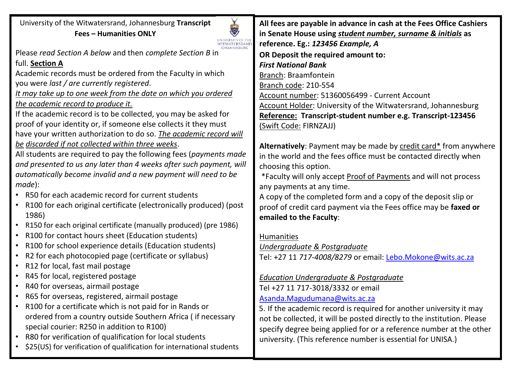University of the Witwatersrand, Johannesburg **Transcript Fees – Humanities ONLY**



**IOHANNESBURG** 

Please *read Section A below* and then *complete Section B* in full. **Section A**

Academic records must be ordered from the Faculty in which you were *last / are currently registered*.

*It may take up to one week from the date on which you ordered the academic record to produce it.*

If the academic record is to be collected, you may be asked for proof of your identity or, if someone else collects it they must have your written authorization to do so. *The academic record will be discarded if not collected within three weeks*.

All students are required to pay the following fees (*payments made and presented to us any later than 4 weeks after such payment, will automatically become invalid and a new payment will need to be made*):

- R50 for each academic record for current students
- R100 for each original certificate (electronically produced) (post 1986)
- R150 for each original certificate (manually produced) (pre 1986)
- R100 for contact hours sheet (Education students)
- R100 for school experience details (Education students)
- R2 for each photocopied page (certificate or syllabus)
- R12 for local, fast mail postage
- R45 for local, registered postage
- R40 for overseas, airmail postage
- R65 for overseas, registered, airmail postage
- R100 for a certificate which is not paid for in Rands or ordered from a country outside Southern Africa ( if necessary special courier: R250 in addition to R100)
- R80 for verification of qualification for local students
- \$25(US) for verification of qualification for international students

**All fees are payable in advance in cash at the Fees Office Cashiers in Senate House using** *student number, surname & initials* **as reference. Eg.:** *123456 Example, A* **OR Deposit the required amount to:** *First National Bank* Branch: Braamfontein Branch code: 210-554 Account number: 51360056499 - Current Account Account Holder: University of the Witwatersrand, Johannesburg **Reference: Transcript-student number e.g. Transcript-123456** (Swift Code: FIRNZAJJ)

**Alternatively**: Payment may be made by credit card\* from anywhere in the world and the fees office must be contacted directly when choosing this option.

\*Faculty will only accept Proof of Payments and will not process any payments at any time.

A copy of the completed form and a copy of the deposit slip or proof of credit card payment via the Fees office may be **faxed or emailed to the Faculty**:

## Humanities

## *Undergraduate & Postgraduate*

Tel: +27 11 *717-4008/8279* or email: [Lebo.Mokone@wits.ac.za](mailto:Lebo.Mokone@wits.ac.za)

## *Education Undergraduate & Postgraduate*

Tel +27 11 717-3018/3332 or email [Asanda.Magudumana@wits.ac.za](mailto:Asanda.Magudumana@wits.ac.za)

5. If the academic record is required for another university it may not be collected, it will be posted directly to the institution. Please specify degree being applied for or a reference number at the other university. (This reference number is essential for UNISA.)